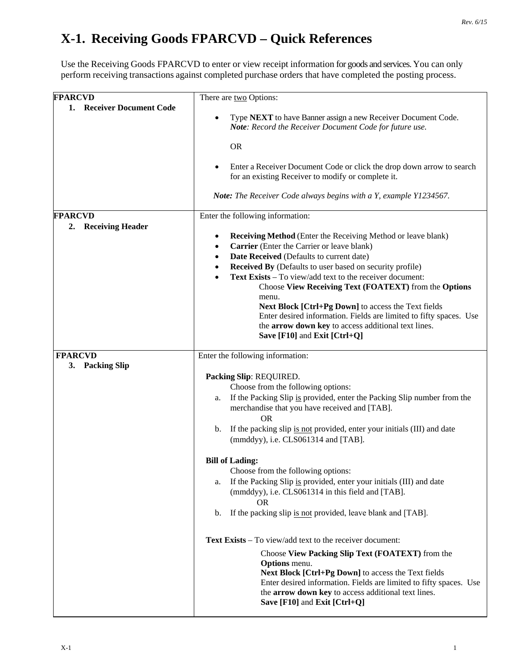## **X-1. Receiving Goods FPARCVD – Quick References**

Use the Receiving Goods FPARCVD to enter or view receipt information for goods and services. You can only perform receiving transactions against completed purchase orders that have completed the posting process.

| <b>FPARCVD</b>            | There are two Options:                                                                                                                                                                                                                   |
|---------------------------|------------------------------------------------------------------------------------------------------------------------------------------------------------------------------------------------------------------------------------------|
| 1. Receiver Document Code |                                                                                                                                                                                                                                          |
|                           | Type NEXT to have Banner assign a new Receiver Document Code.<br>Note: Record the Receiver Document Code for future use.                                                                                                                 |
|                           | <b>OR</b>                                                                                                                                                                                                                                |
|                           | Enter a Receiver Document Code or click the drop down arrow to search<br>for an existing Receiver to modify or complete it.                                                                                                              |
|                           | <b>Note:</b> The Receiver Code always begins with a Y, example Y1234567.                                                                                                                                                                 |
| <b>FPARCVD</b><br>2.      | Enter the following information:                                                                                                                                                                                                         |
| <b>Receiving Header</b>   | <b>Receiving Method</b> (Enter the Receiving Method or leave blank)                                                                                                                                                                      |
|                           | Carrier (Enter the Carrier or leave blank)                                                                                                                                                                                               |
|                           | Date Received (Defaults to current date)<br>$\bullet$                                                                                                                                                                                    |
|                           | <b>Received By</b> (Defaults to user based on security profile)<br>$\bullet$                                                                                                                                                             |
|                           | Text Exists - To view/add text to the receiver document:                                                                                                                                                                                 |
|                           | Choose View Receiving Text (FOATEXT) from the Options                                                                                                                                                                                    |
|                           | menu.                                                                                                                                                                                                                                    |
|                           | Next Block [Ctrl+Pg Down] to access the Text fields                                                                                                                                                                                      |
|                           | Enter desired information. Fields are limited to fifty spaces. Use                                                                                                                                                                       |
|                           | the arrow down key to access additional text lines.<br>Save [F10] and Exit [Ctrl+Q]                                                                                                                                                      |
| <b>FPARCVD</b>            | Enter the following information:                                                                                                                                                                                                         |
| 3. Packing Slip           |                                                                                                                                                                                                                                          |
|                           | Packing Slip: REQUIRED.                                                                                                                                                                                                                  |
|                           | Choose from the following options:                                                                                                                                                                                                       |
|                           | If the Packing Slip is provided, enter the Packing Slip number from the<br>a.                                                                                                                                                            |
|                           | merchandise that you have received and [TAB].                                                                                                                                                                                            |
|                           | <b>OR</b>                                                                                                                                                                                                                                |
|                           | If the packing slip is not provided, enter your initials (III) and date<br>b.<br>(mmddyy), i.e. CLS061314 and [TAB].                                                                                                                     |
|                           | <b>Bill of Lading:</b>                                                                                                                                                                                                                   |
|                           | Choose from the following options:                                                                                                                                                                                                       |
|                           | If the Packing Slip is provided, enter your initials (III) and date<br>a.<br>(mmddyy), i.e. CLS061314 in this field and [TAB].                                                                                                           |
|                           | <b>OR</b><br>If the packing slip is not provided, leave blank and [TAB].<br>b.                                                                                                                                                           |
|                           | <b>Text Exists</b> – To view/add text to the receiver document:                                                                                                                                                                          |
|                           | Choose View Packing Slip Text (FOATEXT) from the                                                                                                                                                                                         |
|                           | <b>Options</b> menu.<br>Next Block [Ctrl+Pg Down] to access the Text fields<br>Enter desired information. Fields are limited to fifty spaces. Use<br>the arrow down key to access additional text lines.<br>Save [F10] and Exit [Ctrl+Q] |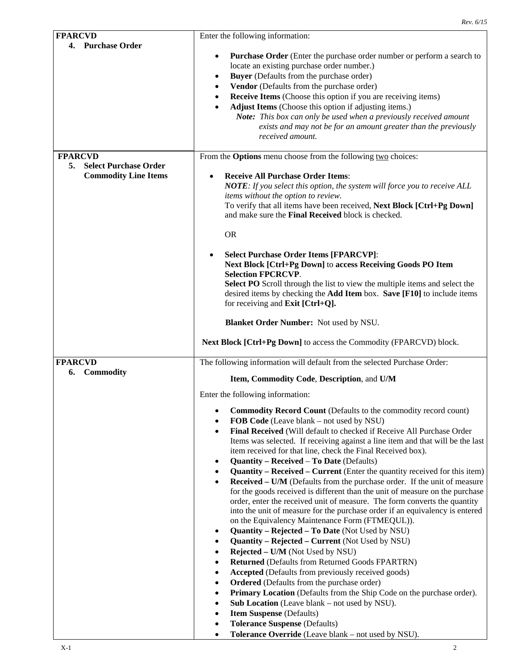|                                                                                     | Rev. 6/15                                                                                                                                                                                                                                                                                                                                                                                                                                                                                                                                                                                                                                                                                                                                                                                                                                                                                                                                                                                                                                                                                                                                                                                                                                                                                                                                                                                                                                                                                                                                                                                                                                                                                                                                                                            |
|-------------------------------------------------------------------------------------|--------------------------------------------------------------------------------------------------------------------------------------------------------------------------------------------------------------------------------------------------------------------------------------------------------------------------------------------------------------------------------------------------------------------------------------------------------------------------------------------------------------------------------------------------------------------------------------------------------------------------------------------------------------------------------------------------------------------------------------------------------------------------------------------------------------------------------------------------------------------------------------------------------------------------------------------------------------------------------------------------------------------------------------------------------------------------------------------------------------------------------------------------------------------------------------------------------------------------------------------------------------------------------------------------------------------------------------------------------------------------------------------------------------------------------------------------------------------------------------------------------------------------------------------------------------------------------------------------------------------------------------------------------------------------------------------------------------------------------------------------------------------------------------|
| <b>FPARCVD</b>                                                                      | Enter the following information:                                                                                                                                                                                                                                                                                                                                                                                                                                                                                                                                                                                                                                                                                                                                                                                                                                                                                                                                                                                                                                                                                                                                                                                                                                                                                                                                                                                                                                                                                                                                                                                                                                                                                                                                                     |
| 4. Purchase Order                                                                   | Purchase Order (Enter the purchase order number or perform a search to<br>٠<br>locate an existing purchase order number.)<br>Buyer (Defaults from the purchase order)<br>$\bullet$<br>Vendor (Defaults from the purchase order)<br>$\bullet$<br><b>Receive Items</b> (Choose this option if you are receiving items)<br>$\bullet$<br>Adjust Items (Choose this option if adjusting items.)<br>$\bullet$<br>Note: This box can only be used when a previously received amount<br>exists and may not be for an amount greater than the previously<br>received amount.                                                                                                                                                                                                                                                                                                                                                                                                                                                                                                                                                                                                                                                                                                                                                                                                                                                                                                                                                                                                                                                                                                                                                                                                                  |
| <b>FPARCVD</b><br><b>Select Purchase Order</b><br>5.<br><b>Commodity Line Items</b> | From the Options menu choose from the following two choices:<br><b>Receive All Purchase Order Items:</b><br>NOTE: If you select this option, the system will force you to receive ALL<br>items without the option to review.<br>To verify that all items have been received, Next Block [Ctrl+Pg Down]<br>and make sure the Final Received block is checked.                                                                                                                                                                                                                                                                                                                                                                                                                                                                                                                                                                                                                                                                                                                                                                                                                                                                                                                                                                                                                                                                                                                                                                                                                                                                                                                                                                                                                         |
|                                                                                     | <b>OR</b><br><b>Select Purchase Order Items [FPARCVP]:</b><br>$\bullet$<br>Next Block [Ctrl+Pg Down] to access Receiving Goods PO Item<br><b>Selection FPCRCVP.</b><br>Select PO Scroll through the list to view the multiple items and select the<br>desired items by checking the Add Item box. Save [F10] to include items<br>for receiving and Exit [Ctrl+Q].<br><b>Blanket Order Number:</b> Not used by NSU.                                                                                                                                                                                                                                                                                                                                                                                                                                                                                                                                                                                                                                                                                                                                                                                                                                                                                                                                                                                                                                                                                                                                                                                                                                                                                                                                                                   |
|                                                                                     | Next Block [Ctrl+Pg Down] to access the Commodity (FPARCVD) block.                                                                                                                                                                                                                                                                                                                                                                                                                                                                                                                                                                                                                                                                                                                                                                                                                                                                                                                                                                                                                                                                                                                                                                                                                                                                                                                                                                                                                                                                                                                                                                                                                                                                                                                   |
| <b>FPARCVD</b><br><b>Commodity</b><br>6.                                            | The following information will default from the selected Purchase Order:<br>Item, Commodity Code, Description, and U/M<br>Enter the following information:<br><b>Commodity Record Count (Defaults to the commodity record count)</b><br>٠<br>FOB Code (Leave blank – not used by NSU)<br>$\bullet$<br>Final Received (Will default to checked if Receive All Purchase Order<br>٠<br>Items was selected. If receiving against a line item and that will be the last<br>item received for that line, check the Final Received box).<br><b>Quantity - Received - To Date (Defaults)</b><br>$\bullet$<br><b>Quantity – Received – Current</b> (Enter the quantity received for this item)<br>$\bullet$<br>Received - U/M (Defaults from the purchase order. If the unit of measure<br>٠<br>for the goods received is different than the unit of measure on the purchase<br>order, enter the received unit of measure. The form converts the quantity<br>into the unit of measure for the purchase order if an equivalency is entered<br>on the Equivalency Maintenance Form (FTMEQUL)).<br>Quantity - Rejected - To Date (Not Used by NSU)<br>٠<br><b>Quantity - Rejected - Current</b> (Not Used by NSU)<br>٠<br>Rejected - U/M (Not Used by NSU)<br>٠<br>Returned (Defaults from Returned Goods FPARTRN)<br>٠<br><b>Accepted</b> (Defaults from previously received goods)<br>$\bullet$<br><b>Ordered</b> (Defaults from the purchase order)<br>$\bullet$<br>Primary Location (Defaults from the Ship Code on the purchase order).<br>$\bullet$<br>Sub Location (Leave blank – not used by NSU).<br>$\bullet$<br><b>Item Suspense</b> (Defaults)<br>$\bullet$<br><b>Tolerance Suspense (Defaults)</b><br>$\bullet$<br>Tolerance Override (Leave blank - not used by NSU).<br>$\bullet$ |